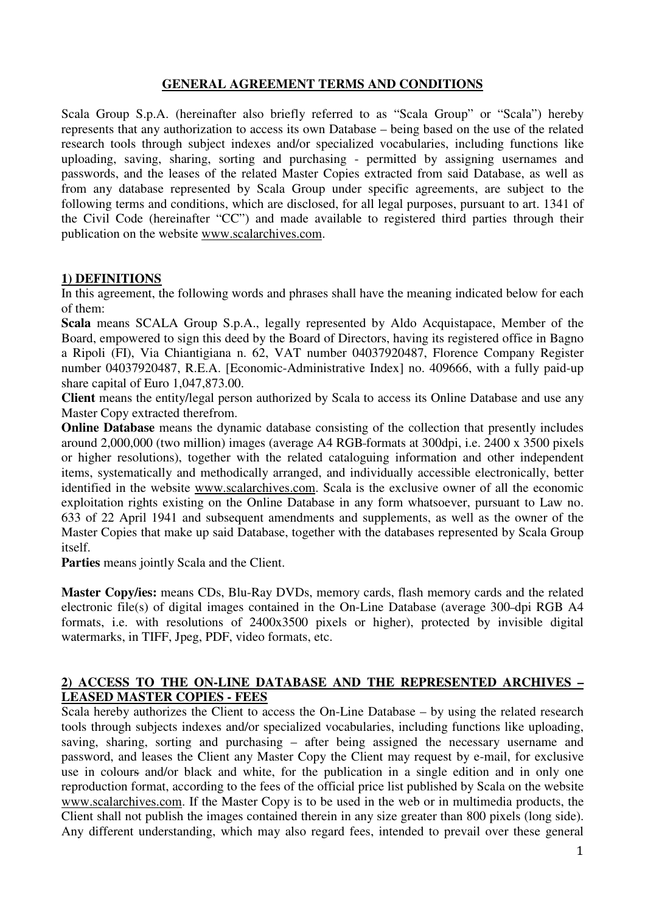## **GENERAL AGREEMENT TERMS AND CONDITIONS**

Scala Group S.p.A. (hereinafter also briefly referred to as "Scala Group" or "Scala") hereby represents that any authorization to access its own Database – being based on the use of the related research tools through subject indexes and/or specialized vocabularies, including functions like uploading, saving, sharing, sorting and purchasing - permitted by assigning usernames and passwords, and the leases of the related Master Copies extracted from said Database, as well as from any database represented by Scala Group under specific agreements, are subject to the following terms and conditions, which are disclosed, for all legal purposes, pursuant to art. 1341 of the Civil Code (hereinafter "CC") and made available to registered third parties through their publication on the website www.scalarchives.com.

#### **1) DEFINITIONS**

In this agreement, the following words and phrases shall have the meaning indicated below for each of them:

**Scala** means SCALA Group S.p.A., legally represented by Aldo Acquistapace, Member of the Board, empowered to sign this deed by the Board of Directors, having its registered office in Bagno a Ripoli (FI), Via Chiantigiana n. 62, VAT number 04037920487, Florence Company Register number 04037920487, R.E.A. [Economic-Administrative Index] no. 409666, with a fully paid-up share capital of Euro 1,047,873.00.

**Client** means the entity/legal person authorized by Scala to access its Online Database and use any Master Copy extracted therefrom.

**Online Database** means the dynamic database consisting of the collection that presently includes around 2,000,000 (two million) images (average A4 RGB formats at 300dpi, i.e. 2400 x 3500 pixels or higher resolutions), together with the related cataloguing information and other independent items, systematically and methodically arranged, and individually accessible electronically, better identified in the website www.scalarchives.com. Scala is the exclusive owner of all the economic exploitation rights existing on the Online Database in any form whatsoever, pursuant to Law no. 633 of 22 April 1941 and subsequent amendments and supplements, as well as the owner of the Master Copies that make up said Database, together with the databases represented by Scala Group itself.

**Parties** means jointly Scala and the Client.

**Master Copy/ies:** means CDs, Blu-Ray DVDs, memory cards, flash memory cards and the related electronic file(s) of digital images contained in the On-Line Database (average 300-dpi RGB A4 formats, i.e. with resolutions of 2400x3500 pixels or higher), protected by invisible digital watermarks, in TIFF, Jpeg, PDF, video formats, etc.

#### **2) ACCESS TO THE ON-LINE DATABASE AND THE REPRESENTED ARCHIVES – LEASED MASTER COPIES - FEES**

Scala hereby authorizes the Client to access the On-Line Database – by using the related research tools through subjects indexes and/or specialized vocabularies, including functions like uploading, saving, sharing, sorting and purchasing – after being assigned the necessary username and password, and leases the Client any Master Copy the Client may request by e-mail, for exclusive use in colours and/or black and white, for the publication in a single edition and in only one reproduction format, according to the fees of the official price list published by Scala on the website www.scalarchives.com. If the Master Copy is to be used in the web or in multimedia products, the Client shall not publish the images contained therein in any size greater than 800 pixels (long side). Any different understanding, which may also regard fees, intended to prevail over these general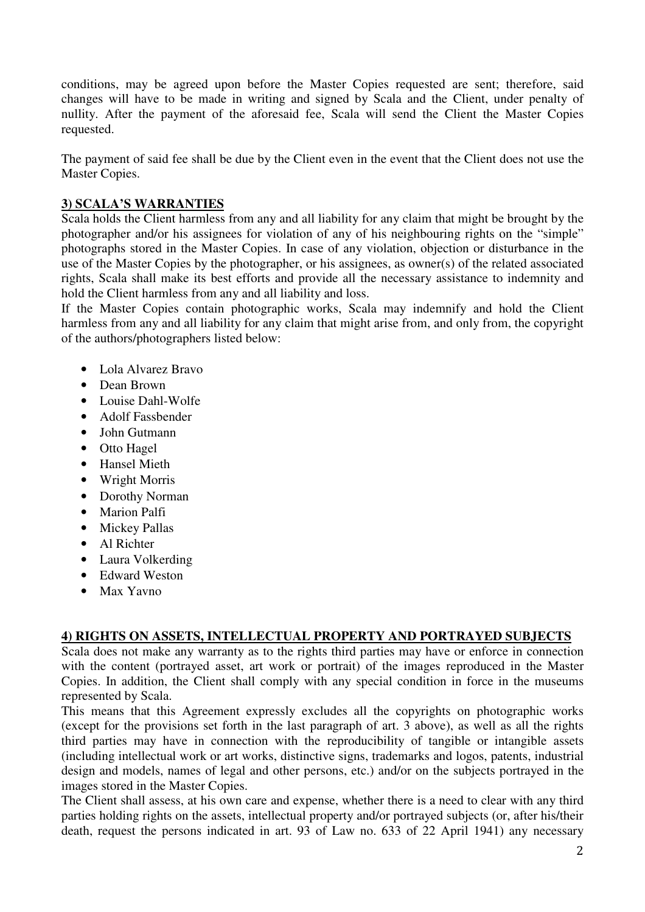conditions, may be agreed upon before the Master Copies requested are sent; therefore, said changes will have to be made in writing and signed by Scala and the Client, under penalty of nullity. After the payment of the aforesaid fee, Scala will send the Client the Master Copies requested.

The payment of said fee shall be due by the Client even in the event that the Client does not use the Master Copies.

# **3) SCALA'S WARRANTIES**

Scala holds the Client harmless from any and all liability for any claim that might be brought by the photographer and/or his assignees for violation of any of his neighbouring rights on the "simple" photographs stored in the Master Copies. In case of any violation, objection or disturbance in the use of the Master Copies by the photographer, or his assignees, as owner(s) of the related associated rights, Scala shall make its best efforts and provide all the necessary assistance to indemnity and hold the Client harmless from any and all liability and loss.

If the Master Copies contain photographic works, Scala may indemnify and hold the Client harmless from any and all liability for any claim that might arise from, and only from, the copyright of the authors/photographers listed below:

- Lola Alvarez Bravo
- Dean Brown
- Louise Dahl-Wolfe
- Adolf Fassbender
- John Gutmann
- Otto Hagel
- Hansel Mieth
- Wright Morris
- Dorothy Norman
- Marion Palfi
- Mickey Pallas
- Al Richter
- Laura Volkerding
- Edward Weston
- Max Yavno

# **4) RIGHTS ON ASSETS, INTELLECTUAL PROPERTY AND PORTRAYED SUBJECTS**

Scala does not make any warranty as to the rights third parties may have or enforce in connection with the content (portrayed asset, art work or portrait) of the images reproduced in the Master Copies. In addition, the Client shall comply with any special condition in force in the museums represented by Scala.

This means that this Agreement expressly excludes all the copyrights on photographic works (except for the provisions set forth in the last paragraph of art. 3 above), as well as all the rights third parties may have in connection with the reproducibility of tangible or intangible assets (including intellectual work or art works, distinctive signs, trademarks and logos, patents, industrial design and models, names of legal and other persons, etc.) and/or on the subjects portrayed in the images stored in the Master Copies.

The Client shall assess, at his own care and expense, whether there is a need to clear with any third parties holding rights on the assets, intellectual property and/or portrayed subjects (or, after his/their death, request the persons indicated in art. 93 of Law no. 633 of 22 April 1941) any necessary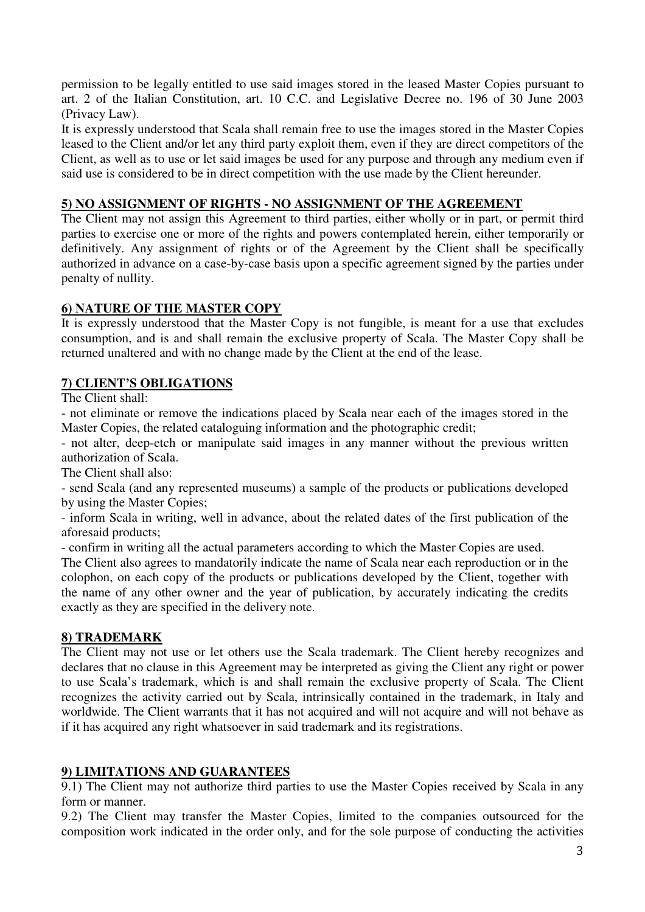permission to be legally entitled to use said images stored in the leased Master Copies pursuant to art. 2 of the Italian Constitution, art. 10 C.C. and Legislative Decree no. 196 of 30 June 2003 (Privacy Law).

It is expressly understood that Scala shall remain free to use the images stored in the Master Copies leased to the Client and/or let any third party exploit them, even if they are direct competitors of the Client, as well as to use or let said images be used for any purpose and through any medium even if said use is considered to be in direct competition with the use made by the Client hereunder.

# **5) NO ASSIGNMENT OF RIGHTS - NO ASSIGNMENT OF THE AGREEMENT**

The Client may not assign this Agreement to third parties, either wholly or in part, or permit third parties to exercise one or more of the rights and powers contemplated herein, either temporarily or definitively. Any assignment of rights or of the Agreement by the Client shall be specifically authorized in advance on a case-by-case basis upon a specific agreement signed by the parties under penalty of nullity.

## **6) NATURE OF THE MASTER COPY**

It is expressly understood that the Master Copy is not fungible, is meant for a use that excludes consumption, and is and shall remain the exclusive property of Scala. The Master Copy shall be returned unaltered and with no change made by the Client at the end of the lease.

## **7) CLIENT'S OBLIGATIONS**

The Client shall:

- not eliminate or remove the indications placed by Scala near each of the images stored in the Master Copies, the related cataloguing information and the photographic credit;

- not alter, deep-etch or manipulate said images in any manner without the previous written authorization of Scala.

The Client shall also:

- send Scala (and any represented museums) a sample of the products or publications developed by using the Master Copies;

- inform Scala in writing, well in advance, about the related dates of the first publication of the aforesaid products;

- confirm in writing all the actual parameters according to which the Master Copies are used.

The Client also agrees to mandatorily indicate the name of Scala near each reproduction or in the colophon, on each copy of the products or publications developed by the Client, together with the name of any other owner and the year of publication, by accurately indicating the credits exactly as they are specified in the delivery note.

## **8) TRADEMARK**

The Client may not use or let others use the Scala trademark. The Client hereby recognizes and declares that no clause in this Agreement may be interpreted as giving the Client any right or power to use Scala's trademark, which is and shall remain the exclusive property of Scala. The Client recognizes the activity carried out by Scala, intrinsically contained in the trademark, in Italy and worldwide. The Client warrants that it has not acquired and will not acquire and will not behave as if it has acquired any right whatsoever in said trademark and its registrations.

## **9) LIMITATIONS AND GUARANTEES**

9.1) The Client may not authorize third parties to use the Master Copies received by Scala in any form or manner.

9.2) The Client may transfer the Master Copies, limited to the companies outsourced for the composition work indicated in the order only, and for the sole purpose of conducting the activities